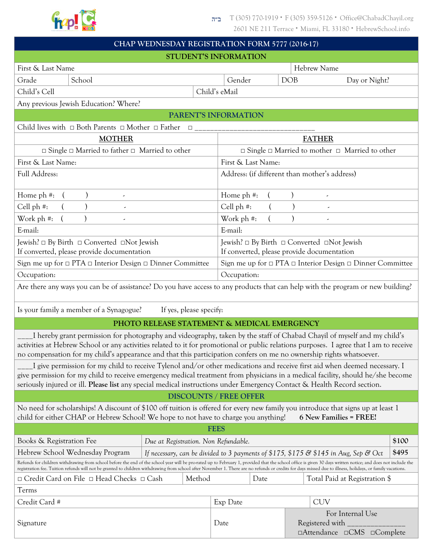

| CHAP WEDNESDAY REGISTRATION FORM 5777 (2016-17)                                                                                                                                                                                                                                                                                                                                                                            |        |                                                                                                                       |  |  |  |
|----------------------------------------------------------------------------------------------------------------------------------------------------------------------------------------------------------------------------------------------------------------------------------------------------------------------------------------------------------------------------------------------------------------------------|--------|-----------------------------------------------------------------------------------------------------------------------|--|--|--|
| STUDENT'S INFORMATION                                                                                                                                                                                                                                                                                                                                                                                                      |        |                                                                                                                       |  |  |  |
| First & Last Name                                                                                                                                                                                                                                                                                                                                                                                                          |        | Hebrew Name                                                                                                           |  |  |  |
| Grade<br>School                                                                                                                                                                                                                                                                                                                                                                                                            |        | <b>DOB</b><br>Gender<br>Day or Night?                                                                                 |  |  |  |
| Child's Cell                                                                                                                                                                                                                                                                                                                                                                                                               |        | Child's eMail                                                                                                         |  |  |  |
| Any previous Jewish Education? Where?                                                                                                                                                                                                                                                                                                                                                                                      |        |                                                                                                                       |  |  |  |
| PARENT'S INFORMATION                                                                                                                                                                                                                                                                                                                                                                                                       |        |                                                                                                                       |  |  |  |
| Child lives with $\Box$ Both Parents $\Box$ Mother $\Box$ Father $\Box$                                                                                                                                                                                                                                                                                                                                                    |        |                                                                                                                       |  |  |  |
| <b>MOTHER</b>                                                                                                                                                                                                                                                                                                                                                                                                              |        | <b>FATHER</b>                                                                                                         |  |  |  |
| $\Box$ Single $\Box$ Married to father $\Box$ Married to other                                                                                                                                                                                                                                                                                                                                                             |        | $\Box$ Single $\Box$ Married to mother $\Box$ Married to other                                                        |  |  |  |
| First & Last Name:                                                                                                                                                                                                                                                                                                                                                                                                         |        | First & Last Name:                                                                                                    |  |  |  |
| Full Address:                                                                                                                                                                                                                                                                                                                                                                                                              |        | Address: (if different than mother's address)                                                                         |  |  |  |
| Home ph #:                                                                                                                                                                                                                                                                                                                                                                                                                 |        | Home ph #:                                                                                                            |  |  |  |
| Cell ph #:                                                                                                                                                                                                                                                                                                                                                                                                                 |        | Cell ph #:                                                                                                            |  |  |  |
| Work ph <sup>#</sup> :<br>$\overline{\phantom{a}}$                                                                                                                                                                                                                                                                                                                                                                         |        | Work ph #:                                                                                                            |  |  |  |
| E-mail:                                                                                                                                                                                                                                                                                                                                                                                                                    |        | E-mail:                                                                                                               |  |  |  |
| Jewish? □ By Birth □ Converted □Not Jewish                                                                                                                                                                                                                                                                                                                                                                                 |        | Jewish? □ By Birth □ Converted □Not Jewish                                                                            |  |  |  |
| If converted, please provide documentation                                                                                                                                                                                                                                                                                                                                                                                 |        | If converted, please provide documentation                                                                            |  |  |  |
| Sign me up for $\Box$ PTA $\Box$ Interior Design $\Box$ Dinner Committee                                                                                                                                                                                                                                                                                                                                                   |        | Sign me up for $\Box$ PTA $\Box$ Interior Design $\Box$ Dinner Committee                                              |  |  |  |
| Occupation:                                                                                                                                                                                                                                                                                                                                                                                                                |        | Occupation:                                                                                                           |  |  |  |
| Are there any ways you can be of assistance? Do you have access to any products that can help with the program or new building?                                                                                                                                                                                                                                                                                            |        |                                                                                                                       |  |  |  |
| Is your family a member of a Synagogue?<br>If yes, please specify:                                                                                                                                                                                                                                                                                                                                                         |        |                                                                                                                       |  |  |  |
| PHOTO RELEASE STATEMENT & MEDICAL EMERGENCY                                                                                                                                                                                                                                                                                                                                                                                |        |                                                                                                                       |  |  |  |
| I hereby grant permission for photography and videography, taken by the staff of Chabad Chayil of myself and my child's<br>activities at Hebrew School or any activities related to it for promotional or public relations purposes. I agree that I am to receive<br>no compensation for my child's appearance and that this participation confers on me no ownership rights whatsoever.                                   |        |                                                                                                                       |  |  |  |
| I give permission for my child to receive Tylenol and/or other medications and receive first aid when deemed necessary. I<br>give permission for my child to receive emergency medical treatment from physicians in a medical facility, should he/she become<br>seriously injured or ill. Please list any special medical instructions under Emergency Contact & Health Record section.                                    |        |                                                                                                                       |  |  |  |
|                                                                                                                                                                                                                                                                                                                                                                                                                            |        | <b>DISCOUNTS / FREE OFFER</b>                                                                                         |  |  |  |
| No need for scholarships! A discount of \$100 off tuition is offered for every new family you introduce that signs up at least 1<br>child for either CHAP or Hebrew School! We hope to not have to charge you anything!<br>6 New Families = FREE!                                                                                                                                                                          |        |                                                                                                                       |  |  |  |
| <b>FEES</b>                                                                                                                                                                                                                                                                                                                                                                                                                |        |                                                                                                                       |  |  |  |
| Books & Registration Fee                                                                                                                                                                                                                                                                                                                                                                                                   |        | \$100<br>Due at Registration. Non Refundable.                                                                         |  |  |  |
| Hebrew School Wednesday Program                                                                                                                                                                                                                                                                                                                                                                                            |        | \$495<br>If necessary, can be divided to 3 payments of \$175, \$175 $\mathcal{C}$ \$145 in Aug, Sep $\mathcal{C}$ Oct |  |  |  |
| Refunds for children withdrawing from school before the end of the school year will be pro-rated up to February 1, provided that the school office is given 30 days written notice; and does not include the<br>registration fee. Tuition refunds will not be granted to children withdrawing from school after November 1. There are no refunds or credits for days missed due to illness, holidays, or family vacations. |        |                                                                                                                       |  |  |  |
| □ Credit Card on File □ Head Checks □ Cash                                                                                                                                                                                                                                                                                                                                                                                 | Method | Date<br>Total Paid at Registration \$                                                                                 |  |  |  |
| Terms                                                                                                                                                                                                                                                                                                                                                                                                                      |        |                                                                                                                       |  |  |  |
| Credit Card #                                                                                                                                                                                                                                                                                                                                                                                                              |        | <b>CUV</b><br>Exp Date                                                                                                |  |  |  |
| Signature                                                                                                                                                                                                                                                                                                                                                                                                                  |        | For Internal Use<br>Registered with<br>Date<br>□Attendance □CMS □Complete                                             |  |  |  |